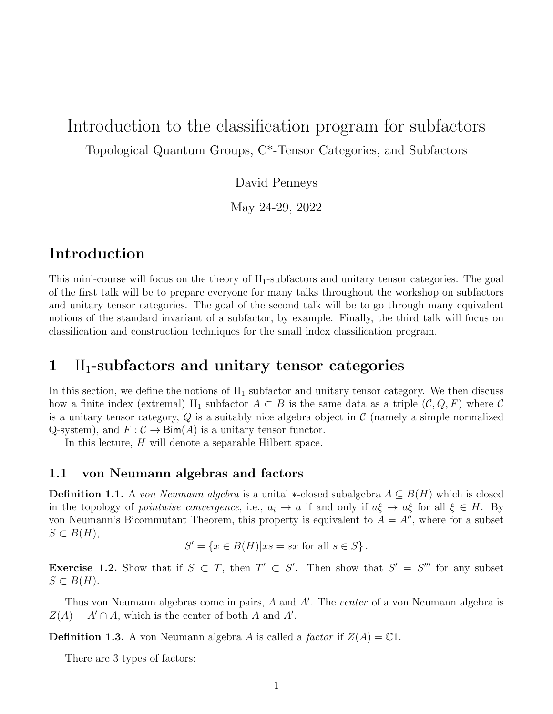# Introduction to the classification program for subfactors Topological Quantum Groups, C\*-Tensor Categories, and Subfactors

David Penneys

May 24-29, 2022

## Introduction

This mini-course will focus on the theory of  $II_1$ -subfactors and unitary tensor categories. The goal of the first talk will be to prepare everyone for many talks throughout the workshop on subfactors and unitary tensor categories. The goal of the second talk will be to go through many equivalent notions of the standard invariant of a subfactor, by example. Finally, the third talk will focus on classification and construction techniques for the small index classification program.

## $1$  II<sub>1</sub>-subfactors and unitary tensor categories

In this section, we define the notions of  $II_1$  subfactor and unitary tensor category. We then discuss how a finite index (extremal) II<sub>1</sub> subfactor  $A \subset B$  is the same data as a triple  $(C, Q, F)$  where C is a unitary tensor category,  $Q$  is a suitably nice algebra object in  $\mathcal C$  (namely a simple normalized Q-system), and  $F: \mathcal{C} \to \text{Bim}(A)$  is a unitary tensor functor.

In this lecture, H will denote a separable Hilbert space.

## 1.1 von Neumann algebras and factors

**Definition 1.1.** A von Neumann algebra is a unital \*-closed subalgebra  $A \subseteq B(H)$  which is closed in the topology of *pointwise convergence*, i.e.,  $a_i \to a$  if and only if  $a\xi \to a\xi$  for all  $\xi \in H$ . By von Neumann's Bicommutant Theorem, this property is equivalent to  $A = A''$ , where for a subset  $S \subset B(H)$ ,

$$
S' = \{ x \in B(H) | xs = sx \text{ for all } s \in S \}.
$$

**Exercise 1.2.** Show that if  $S \subset T$ , then  $T' \subset S'$ . Then show that  $S' = S'''$  for any subset  $S \subset B(H)$ .

Thus von Neumann algebras come in pairs,  $A$  and  $A'$ . The *center* of a von Neumann algebra is  $Z(A) = A' \cap A$ , which is the center of both A and A'.

**Definition 1.3.** A von Neumann algebra A is called a factor if  $Z(A) = \mathbb{C}1$ .

There are 3 types of factors: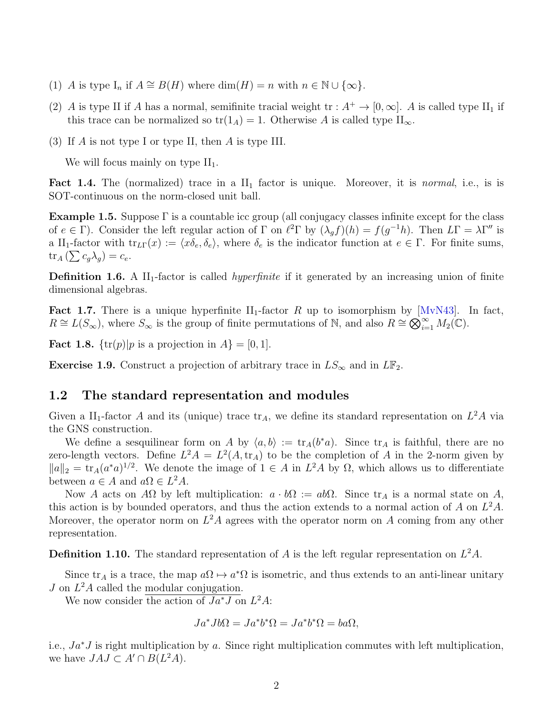- (1) A is type  $I_n$  if  $A \cong B(H)$  where  $\dim(H) = n$  with  $n \in \mathbb{N} \cup \{\infty\}.$
- (2) A is type II if A has a normal, semifinite tracial weight  $tr : A^+ \to [0, \infty]$ . A is called type II<sub>1</sub> if this trace can be normalized so  $tr(1_A) = 1$ . Otherwise A is called type  $II_{\infty}$ .
- (3) If A is not type I or type II, then A is type III.

We will focus mainly on type  $II_1$ .

**Fact 1.4.** The (normalized) trace in a  $II_1$  factor is unique. Moreover, it is *normal*, i.e., is is SOT-continuous on the norm-closed unit ball.

**Example 1.5.** Suppose  $\Gamma$  is a countable icc group (all conjugacy classes infinite except for the class of  $e \in \Gamma$ ). Consider the left regular action of  $\Gamma$  on  $\ell^2 \Gamma$  by  $(\lambda_g f)(h) = f(g^{-1}h)$ . Then  $L\Gamma = \lambda \Gamma''$  is a II<sub>1</sub>-factor with  $\text{tr}_{LT}(x) := \langle x\delta_e, \delta_e \rangle$ , where  $\delta_e$  is the indicator function at  $e \in \Gamma$ . For finite sums,  $\operatorname{tr}_A\left(\sum c_g \lambda_g\right) = c_e.$ 

**Definition 1.6.** A  $II_1$ -factor is called *hyperfinite* if it generated by an increasing union of finite dimensional algebras.

**Fact 1.7.** There is a unique hyperfinite  $II_1$ -factor R up to isomorphism by  $[MvN43]$ . In fact,  $R \cong L(S_{\infty})$ , where  $S_{\infty}$  is the group of finite permutations of N, and also  $R \cong \bigotimes_{i=1}^{\infty} M_2(\mathbb{C})$ .

**Fact 1.8.**  $\{\text{tr}(p)|p\text{ is a projection in }A\} = [0,1].$ 

Exercise 1.9. Construct a projection of arbitrary trace in  $LS_{\infty}$  and in  $LF_2$ .

## 1.2 The standard representation and modules

Given a II<sub>1</sub>-factor A and its (unique) trace  $\text{tr}_A$ , we define its standard representation on  $L^2A$  via the GNS construction.

We define a sesquilinear form on A by  $\langle a, b \rangle := \text{tr}_A(b^*a)$ . Since  $\text{tr}_A$  is faithful, there are no zero-length vectors. Define  $L^2 A = L^2(A, \text{tr}_A)$  to be the completion of A in the 2-norm given by  $||a||_2 = \text{tr}_A(a^*a)^{1/2}$ . We denote the image of  $1 \in A$  in  $L^2A$  by  $\Omega$ , which allows us to differentiate between  $a \in A$  and  $a\Omega \in L^2A$ .

Now A acts on AΩ by left multiplication:  $a \cdot b\Omega := ab\Omega$ . Since  $\text{tr}_A$  is a normal state on A, this action is by bounded operators, and thus the action extends to a normal action of A on  $L^2A$ . Moreover, the operator norm on  $L^2A$  agrees with the operator norm on A coming from any other representation.

**Definition 1.10.** The standard representation of A is the left regular representation on  $L^2A$ .

Since  $\text{tr}_A$  is a trace, the map  $a\Omega \mapsto a^*\Omega$  is isometric, and thus extends to an anti-linear unitary  $J$  on  $L^2A$  called the modular conjugation.

We now consider the action of  $Ja^*J$  on  $L^2A$ :

$$
Ja^*Jb\Omega = Ja^*b^*\Omega = Ja^*b^*\Omega = ba\Omega,
$$

i.e.,  $Ja^*J$  is right multiplication by a. Since right multiplication commutes with left multiplication, we have  $JAJ \subset A' \cap B(L^2A)$ .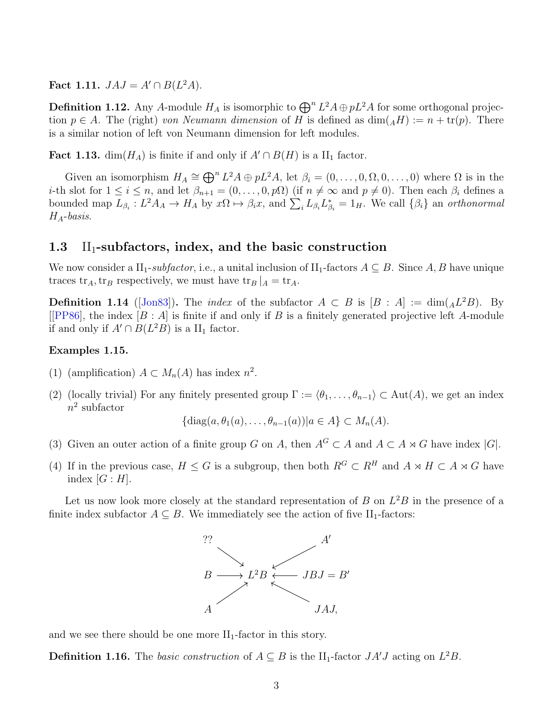Fact 1.11.  $JAJ = A' \cap B(L^2A)$ .

**Definition 1.12.** Any A-module  $H_A$  is isomorphic to  $\bigoplus^n L^2A \oplus pL^2A$  for some orthogonal projection  $p \in A$ . The (right) von Neumann dimension of H is defined as  $\dim(AH) := n + \text{tr}(p)$ . There is a similar notion of left von Neumann dimension for left modules.

**Fact 1.13.** dim( $H_A$ ) is finite if and only if  $A' \cap B(H)$  is a II<sub>1</sub> factor.

Given an isomorphism  $H_A \cong \bigoplus^n L^2A \oplus pL^2A$ , let  $\beta_i = (0, \ldots, 0, \Omega, 0, \ldots, 0)$  where  $\Omega$  is in the *i*-th slot for  $1 \leq i \leq n$ , and let  $\beta_{n+1} = (0, \ldots, 0, p\Omega)$  (if  $n \neq \infty$  and  $p \neq 0$ ). Then each  $\beta_i$  defines a bounded map  $L_{\beta_i}: L^2 A_A \to H_A$  by  $x\Omega \mapsto \beta_i x$ , and  $\sum_i L_{\beta_i} L_{\beta_i}^* = 1_H$ . We call  $\{\beta_i\}$  an *orthonormal*  $H_A$ -basis.

### 1.3 II<sub>1</sub>-subfactors, index, and the basic construction

We now consider a II<sub>1</sub>-subfactor, i.e., a unital inclusion of II<sub>1</sub>-factors  $A \subseteq B$ . Since A, B have unique traces tr<sub>A</sub>, tr<sub>B</sub> respectively, we must have tr<sub>B</sub>  $|_A = \text{tr}_A$ .

**Definition 1.14** ([\[Jon83\]](#page-13-0)). The *index* of the subfactor  $A \subset B$  is  $[B : A] := \dim(A \mathcal{L}^2 B)$ . By [[\[PP86\]](#page-14-1), the index  $[B : A]$  is finite if and only if B is a finitely generated projective left A-module if and only if  $A' \cap B(L^2B)$  is a  $II_1$  factor.

#### Examples 1.15.

- (1) (amplification)  $A \subset M_n(A)$  has index  $n^2$ .
- (2) (locally trivial) For any finitely presented group  $\Gamma := \langle \theta_1, \ldots, \theta_{n-1} \rangle \subset \text{Aut}(A)$ , we get an index  $n^2$  subfactor

$$
\{\operatorname{diag}(a,\theta_1(a),\ldots,\theta_{n-1}(a))|a\in A\}\subset M_n(A).
$$

- (3) Given an outer action of a finite group G on A, then  $A^G \subset A$  and  $A \subset A \rtimes G$  have index |G|.
- (4) If in the previous case,  $H \leq G$  is a subgroup, then both  $R^G \subset R^H$  and  $A \rtimes H \subset A \rtimes G$  have index  $[G:H]$ .

Let us now look more closely at the standard representation of  $B$  on  $L^2B$  in the presence of a finite index subfactor  $A \subseteq B$ . We immediately see the action of five II<sub>1</sub>-factors:



and we see there should be one more  $II_1$ -factor in this story.

**Definition 1.16.** The *basic construction* of  $A \subseteq B$  is the II<sub>1</sub>-factor  $JA'J$  acting on  $L^2B$ .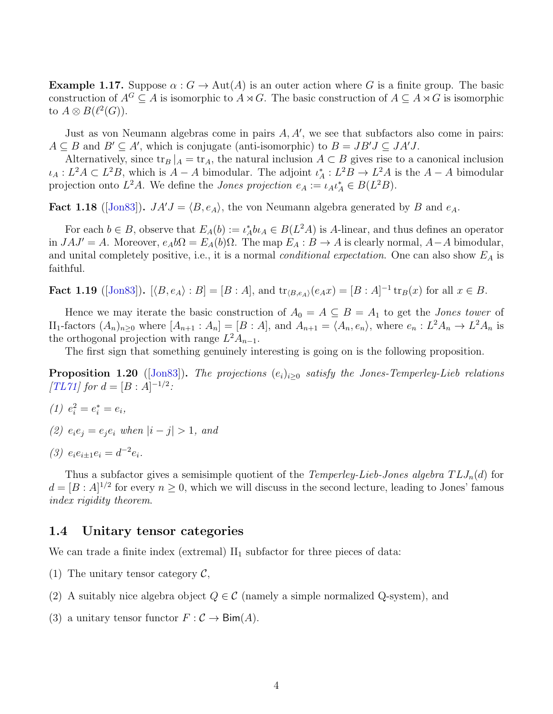**Example 1.17.** Suppose  $\alpha$ :  $G \to \text{Aut}(A)$  is an outer action where G is a finite group. The basic construction of  $A^G \subseteq A$  is isomorphic to  $A \rtimes G$ . The basic construction of  $A \subseteq A \rtimes G$  is isomorphic to  $A \otimes B(\ell^2(G))$ .

Just as von Neumann algebras come in pairs  $A, A'$ , we see that subfactors also come in pairs:  $A \subseteq B$  and  $B' \subseteq A'$ , which is conjugate (anti-isomorphic) to  $B = JB'J \subseteq JA'J$ .

Alternatively, since  $\text{tr}_B |A| = \text{tr}_A$ , the natural inclusion  $A \subset B$  gives rise to a canonical inclusion  $\iota_A: L^2A \subset L^2B$ , which is  $A - A$  bimodular. The adjoint  $\iota_A^*: L^2B \to L^2A$  is the  $A - A$  bimodular projection onto  $L^2A$ . We define the *Jones projection*  $e_A := \iota_A \iota_A^* \in B(L^2B)$ .

**Fact 1.18** ([\[Jon83\]](#page-13-0)).  $JA'J = \langle B, e_A \rangle$ , the von Neumann algebra generated by B and  $e_A$ .

For each  $b \in B$ , observe that  $E_A(b) := \iota_A^* b \iota_A \in B(L^2A)$  is A-linear, and thus defines an operator in  $JAJ' = A$ . Moreover,  $e_A b\Omega = E_A(b)\Omega$ . The map  $E_A : B \to A$  is clearly normal,  $A - A$  bimodular, and unital completely positive, i.e., it is a normal *conditional expectation*. One can also show  $E_A$  is faithful.

**Fact 1.19** ([\[Jon83\]](#page-13-0)).  $[\langle B, e_A \rangle : B] = [B : A]$ , and  $\text{tr}_{\langle B, e_A \rangle}(e_A x) = [B : A]^{-1} \text{tr}_B(x)$  for all  $x \in B$ .

Hence we may iterate the basic construction of  $A_0 = A \subseteq B = A_1$  to get the *Jones tower* of II<sub>1</sub>-factors  $(A_n)_{n\geq 0}$  where  $[A_{n+1} : A_n] = [B : A]$ , and  $A_{n+1} = \langle A_n, e_n \rangle$ , where  $e_n : L^2 A_n \to L^2 A_n$  is the orthogonal projection with range  $L^2A_{n-1}$ .

The first sign that something genuinely interesting is going on is the following proposition.

**Proposition 1.20** ([\[Jon83\]](#page-13-0)). The projections  $(e_i)_{i>0}$  satisfy the Jones-Temperley-Lieb relations  $[TL71]$  for  $d = [B : A]^{-1/2}$ :

- (1)  $e_i^2 = e_i^* = e_i$ ,
- (2)  $e_i e_j = e_i e_i$  when  $|i j| > 1$ , and
- (3)  $e_i e_{i \pm 1} e_i = d^{-2} e_i$ .

Thus a subfactor gives a semisimple quotient of the *Temperley-Lieb-Jones algebra*  $TLJ_n(d)$  for  $d = [B : A]^{1/2}$  for every  $n \geq 0$ , which we will discuss in the second lecture, leading to Jones' famous index rigidity theorem.

#### 1.4 Unitary tensor categories

We can trade a finite index (extremal)  $II_1$  subfactor for three pieces of data:

- (1) The unitary tensor category  $\mathcal{C}$ ,
- (2) A suitably nice algebra object  $Q \in \mathcal{C}$  (namely a simple normalized Q-system), and
- (3) a unitary tensor functor  $F : \mathcal{C} \to \text{Bim}(A)$ .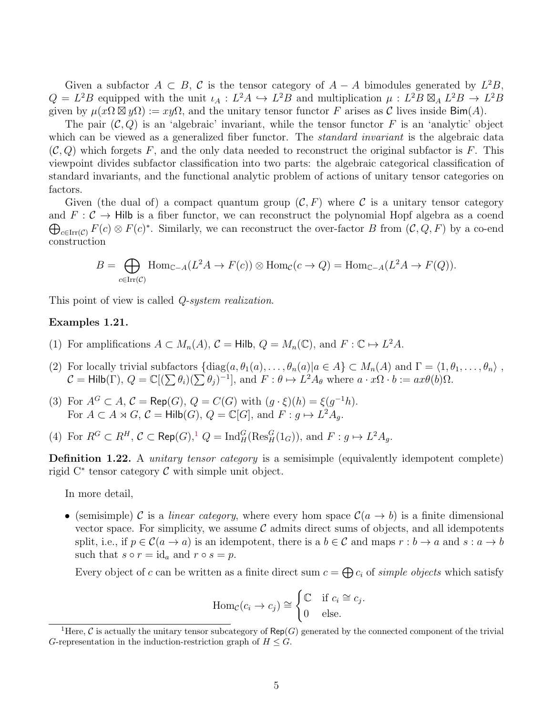Given a subfactor  $A \subset B$ , C is the tensor category of  $A - A$  bimodules generated by  $L^2B$ ,  $Q = L^2 B$  equipped with the unit  $\iota_A : L^2 A \hookrightarrow L^2 B$  and multiplication  $\mu : L^2 B \boxtimes_A L^2 B \to L^2 B$ given by  $\mu(x\Omega \boxtimes y\Omega) := xy\Omega$ , and the unitary tensor functor F arises as C lives inside Bim(A).

The pair  $(C, Q)$  is an 'algebraic' invariant, while the tensor functor F is an 'analytic' object which can be viewed as a generalized fiber functor. The *standard invariant* is the algebraic data  $(C, Q)$  which forgets F, and the only data needed to reconstruct the original subfactor is F. This viewpoint divides subfactor classification into two parts: the algebraic categorical classification of standard invariants, and the functional analytic problem of actions of unitary tensor categories on factors.

Given (the dual of) a compact quantum group  $(C, F)$  where C is a unitary tensor category and  $F: \mathcal{C} \to \mathsf{Hilb}$  is a fiber functor, we can reconstruct the polynomial Hopf algebra as a coend  $\bigoplus_{c \in \text{Irr}(\mathcal{C})} F(c) \otimes F(c)^*$ . Similarly, we can reconstruct the over-factor B from  $(\mathcal{C}, Q, F)$  by a co-end construction

$$
B = \bigoplus_{c \in \text{Irr}(\mathcal{C})} \text{Hom}_{\mathbb{C}-A}(L^2 A \to F(c)) \otimes \text{Hom}_{\mathcal{C}}(c \to Q) = \text{Hom}_{\mathbb{C}-A}(L^2 A \to F(Q)).
$$

This point of view is called *Q-system realization*.

#### Examples 1.21.

- (1) For amplifications  $A \subset M_n(A)$ ,  $C = Hilb$ ,  $Q = M_n(\mathbb{C})$ , and  $F : \mathbb{C} \mapsto L^2A$ .
- (2) For locally trivial subfactors  $\{\text{diag}(a, \theta_1(a), \ldots, \theta_n(a)|a \in A\} \subset M_n(A)$  and  $\Gamma = \langle 1, \theta_1, \ldots, \theta_n \rangle$ ,  $\mathcal{C} = \mathsf{Hilb}(\Gamma), Q = \mathbb{C}[(\sum \theta_i)(\sum \theta_j)^{-1}],$  and  $F : \theta \mapsto L^2A_{\theta}$  where  $a \cdot x\Omega \cdot b := ax\theta(b)\Omega$ .
- (3) For  $A^G \subset A$ ,  $C = \mathsf{Rep}(G)$ ,  $Q = C(G)$  with  $(g \cdot \xi)(h) = \xi(g^{-1}h)$ . For  $A \subset A \rtimes G$ ,  $C = Hilb(G)$ ,  $Q = \mathbb{C}[G]$ , and  $F : g \mapsto L^2 A_g$ .
- (4) For  $R^G \subset R^H$ ,  $C \subset \text{Rep}(G)$ ,  $Q = \text{Ind}_{H}^G(\text{Res}_{H}^G(1_G))$  $Q = \text{Ind}_{H}^G(\text{Res}_{H}^G(1_G))$  $Q = \text{Ind}_{H}^G(\text{Res}_{H}^G(1_G))$ , and  $F : g \mapsto L^2 A_g$ .

Definition 1.22. A *unitary tensor category* is a semisimple (equivalently idempotent complete) rigid  $C^*$  tensor category  $\mathcal C$  with simple unit object.

In more detail,

• (semisimple) C is a *linear category*, where every hom space  $C(a \rightarrow b)$  is a finite dimensional vector space. For simplicity, we assume  $\mathcal C$  admits direct sums of objects, and all idempotents split, i.e., if  $p \in \mathcal{C}(a \to a)$  is an idempotent, there is a  $b \in \mathcal{C}$  and maps  $r : b \to a$  and  $s : a \to b$ such that  $s \circ r = \mathrm{id}_a$  and  $r \circ s = p$ .

Every object of c can be written as a finite direct sum  $c = \bigoplus c_i$  of simple objects which satisfy

$$
\text{Hom}_{\mathcal{C}}(c_i \to c_j) \cong \begin{cases} \mathbb{C} & \text{if } c_i \cong c_j \\ 0 & \text{else.} \end{cases}
$$

.

<span id="page-4-0"></span><sup>&</sup>lt;sup>1</sup>Here, C is actually the unitary tensor subcategory of Rep(G) generated by the connected component of the trivial G-representation in the induction-restriction graph of  $H \leq G$ .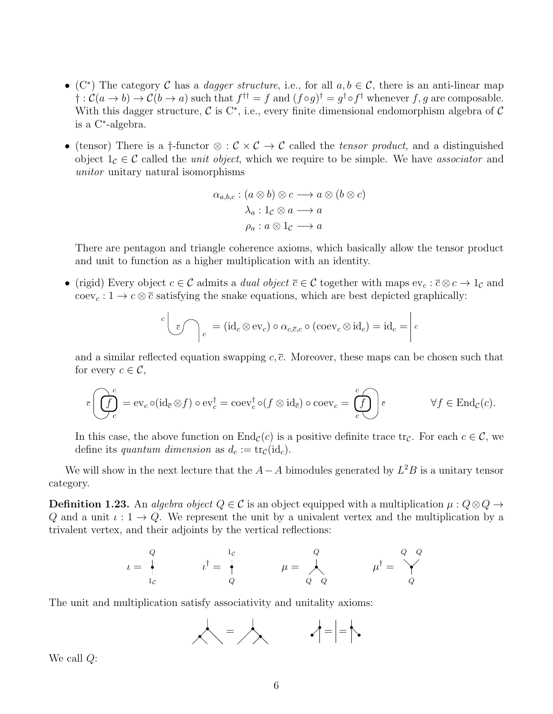- (C<sup>\*</sup>) The category C has a *dagger structure*, i.e., for all  $a, b \in C$ , there is an anti-linear map  $\dagger : C(a \to b) \to C(b \to a)$  such that  $f^{\dagger \dagger} = f$  and  $(f \circ g)^{\dagger} = g^{\dagger} \circ f^{\dagger}$  whenever  $f, g$  are composable. With this dagger structure,  $\mathcal C$  is C<sup>\*</sup>, i.e., every finite dimensional endomorphism algebra of  $\mathcal C$ is a C<sup>∗</sup> -algebra.
- (tensor) There is a †-functor  $\otimes : \mathcal{C} \times \mathcal{C} \to \mathcal{C}$  called the *tensor product*, and a distinguished object  $1_c \in \mathcal{C}$  called the *unit object*, which we require to be simple. We have associator and unitor unitary natural isomorphisms

$$
\alpha_{a,b,c} : (a \otimes b) \otimes c \longrightarrow a \otimes (b \otimes c)
$$

$$
\lambda_a : 1_{\mathcal{C}} \otimes a \longrightarrow a
$$

$$
\rho_a : a \otimes 1_{\mathcal{C}} \longrightarrow a
$$

There are pentagon and triangle coherence axioms, which basically allow the tensor product and unit to function as a higher multiplication with an identity.

• (rigid) Every object  $c \in \mathcal{C}$  admits a *dual object*  $\overline{c} \in \mathcal{C}$  together with maps  $ev_c : \overline{c} \otimes c \to 1_{\mathcal{C}}$  and coev<sub>c</sub>:  $1 \rightarrow c \otimes \overline{c}$  satisfying the snake equations, which are best depicted graphically:

$$
c \left( \int_{\overline{c}} \int_{c} \right) = (\mathrm{id}_{c} \otimes \mathrm{ev}_{c}) \circ \alpha_{c, \overline{c}, c} \circ (\mathrm{coev}_{c} \otimes \mathrm{id}_{c}) = \mathrm{id}_{c} = \bigg| c
$$

and a similar reflected equation swapping  $c, \bar{c}$ . Moreover, these maps can be chosen such that for every  $c \in \mathcal{C}$ ,

$$
\overline{c}\left(\overline{\int_{c}^{c}}\right) = \operatorname{ev}_{c} \circ (\operatorname{id}_{\overline{c}} \otimes f) \circ \operatorname{ev}_{c}^{\dagger} = \operatorname{coev}_{c}^{\dagger} \circ (f \otimes \operatorname{id}_{\overline{c}}) \circ \operatorname{coev}_{c} = \left(\overline{\int_{c}^{c}}\right) \overline{c} \qquad \forall f \in \operatorname{End}_{\mathcal{C}}(c).
$$

In this case, the above function on  $End_{\mathcal{C}}(c)$  is a positive definite trace  $tr_{\mathcal{C}}$ . For each  $c \in \mathcal{C}$ , we define its quantum dimension as  $d_c := \text{tr}_c(\text{id}_c)$ .

We will show in the next lecture that the  $A-A$  bimodules generated by  $L^2B$  is a unitary tensor category.

**Definition 1.23.** An algebra object  $Q \in \mathcal{C}$  is an object equipped with a multiplication  $\mu: Q \otimes Q \rightarrow$ Q and a unit  $\iota: 1 \to Q$ . We represent the unit by a univalent vertex and the multiplication by a trivalent vertex, and their adjoints by the vertical reflections:

$$
\iota = \begin{array}{c} Q \\ \vdots \\ 1_C \end{array} \qquad \qquad \iota^{\dagger} = \begin{array}{c} 1_C \\ \vdots \\ 1_C \end{array} \qquad \qquad \mu = \begin{array}{c} Q \\ \vdots \\ Q \end{array} \qquad \qquad \mu^{\dagger} = \begin{array}{c} Q & Q \\ \vdots \\ Q & Q \end{array}
$$

The unit and multiplication satisfy associativity and unitality axioms:



We call Q: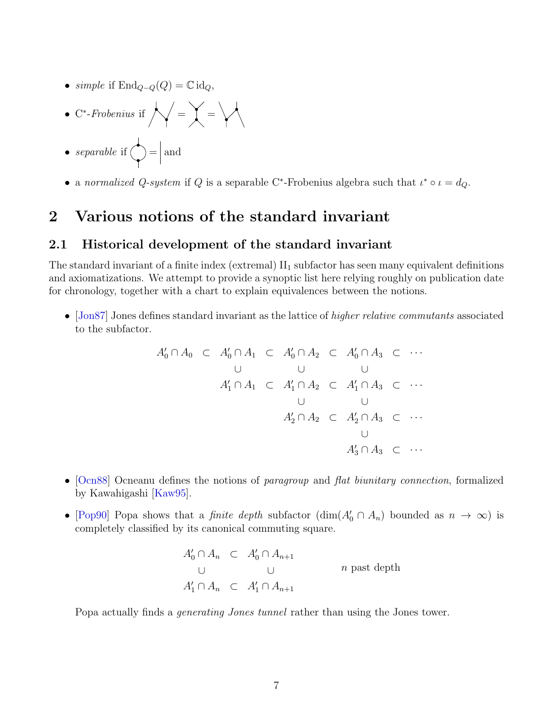- simple if  $\text{End}_{Q-Q}(Q) = \mathbb{C} \text{id}_Q$ ,
- C\*-Frobenius if  $\bigwedge = \begin{bmatrix} \end{bmatrix} =$
- separable if  $\left\langle \right\rangle = \left| \right\rangle$  and
- a normalized Q-system if Q is a separable C<sup>\*</sup>-Frobenius algebra such that  $\iota^* \circ \iota = d_Q$ .

## 2 Various notions of the standard invariant

## 2.1 Historical development of the standard invariant

The standard invariant of a finite index (extremal)  $II_1$  subfactor has seen many equivalent definitions and axiomatizations. We attempt to provide a synoptic list here relying roughly on publication date for chronology, together with a chart to explain equivalences between the notions.

• [\[Jon87\]](#page-13-1) Jones defines standard invariant as the lattice of higher relative commutants associated to the subfactor.

$$
A'_0 \cap A_0 \quad \subset \quad A'_0 \cap A_1 \quad \subset \quad A'_0 \cap A_2 \quad \subset \quad A'_0 \cap A_3 \quad \subset \quad \cdots
$$
\n
$$
\begin{array}{ccccccc}\n\cup & & \cup & & \cup & & \cup \\
A'_1 \cap A_1 & \subset & A'_1 \cap A_2 & \subset & A'_1 \cap A_3 & \subset & \cdots \\
& & & & & \cup & & \cup \\
A'_2 \cap A_2 & \subset & A'_2 \cap A_3 & \subset & \cdots \\
& & & & & \cup \\
A'_3 \cap A_3 & \subset & \cdots\n\end{array}
$$

- [\[Ocn88\]](#page-14-3) Ocneanu defines the notions of paragroup and flat biunitary connection, formalized by Kawahigashi [\[Kaw95\]](#page-14-4).
- [\[Pop90\]](#page-14-5) Popa shows that a *finite depth* subfactor  $(\dim(A_0' \cap A_n)$  bounded as  $n \to \infty)$  is completely classified by its canonical commuting square.

$$
A'_0 \cap A_n \subset A'_0 \cap A_{n+1}
$$
  
\n
$$
\cup \qquad \qquad \cup \qquad n \text{ past depth}
$$
  
\n
$$
A'_1 \cap A_n \subset A'_1 \cap A_{n+1}
$$

Popa actually finds a generating Jones tunnel rather than using the Jones tower.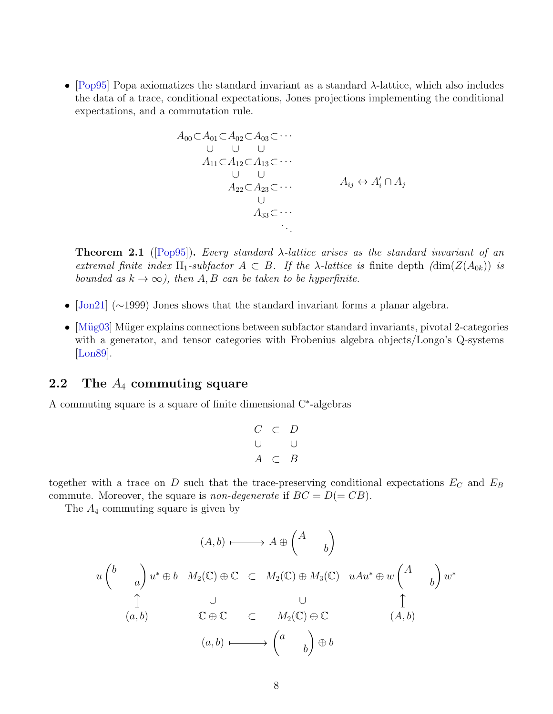• [\[Pop95\]](#page-14-6) Popa axiomatizes the standard invariant as a standard λ-lattice, which also includes the data of a trace, conditional expectations, Jones projections implementing the conditional expectations, and a commutation rule.

$$
A_{00} \subset A_{01} \subset A_{02} \subset A_{03} \subset \cdots
$$
  
\n
$$
\cup \quad \cup \quad \cup
$$
  
\n
$$
A_{11} \subset A_{12} \subset A_{13} \subset \cdots
$$
  
\n
$$
\cup \quad \cup
$$
  
\n
$$
A_{22} \subset A_{23} \subset \cdots
$$
  
\n
$$
A_{ij} \leftrightarrow A'_i \cap A_j
$$
  
\n
$$
A_{33} \subset \cdots
$$
  
\n
$$
\cdots
$$

**Theorem 2.1** ([\[Pop95\]](#page-14-6)). Every standard  $\lambda$ -lattice arises as the standard invariant of an extremal finite index  $II_1$ -subfactor  $A \subset B$ . If the  $\lambda$ -lattice is finite depth  $(\dim(Z(A_{0k}))$  is bounded as  $k \to \infty$ ), then A, B can be taken to be hyperfinite.

- [\[Jon21\]](#page-13-2) (∼1999) Jones shows that the standard invariant forms a planar algebra.
- [Müg03] Müger explains connections between subfactor standard invariants, pivotal 2-categories with a generator, and tensor categories with Frobenius algebra objects/Longo's Q-systems [\[Lon89\]](#page-14-8).

## 2.2 The  $A_4$  commuting square

A commuting square is a square of finite dimensional C<sup>∗</sup> -algebras

$$
\begin{array}{ccc}\nC & \subset & D \\
\cup & & \cup \\
A & \subset & B\n\end{array}
$$

together with a trace on  $D$  such that the trace-preserving conditional expectations  $E_C$  and  $E_B$ commute. Moreover, the square is non-degenerate if  $BC = D(= CB)$ .

The  $A_4$  commuting square is given by

$$
(A,b) \longmapsto A \oplus \begin{pmatrix} A \\ b \end{pmatrix}
$$
  
\n
$$
u \begin{pmatrix} b \\ a \end{pmatrix} u^* \oplus b \quad M_2(\mathbb{C}) \oplus \mathbb{C} \subset M_2(\mathbb{C}) \oplus M_3(\mathbb{C}) \quad uAu^* \oplus w \begin{pmatrix} A \\ b \end{pmatrix} w^*
$$
  
\n
$$
\begin{pmatrix} 1 & \cup & \cup & \mathbb{C} \\ (a,b) & \mathbb{C} \oplus \mathbb{C} \subset M_2(\mathbb{C}) \oplus \mathbb{C} \end{pmatrix} \oplus \begin{pmatrix} 1 & \cup & \mathbb{C} \\ (a,b) & \mathbb{C} \oplus \mathbb{C} \end{pmatrix} \oplus b
$$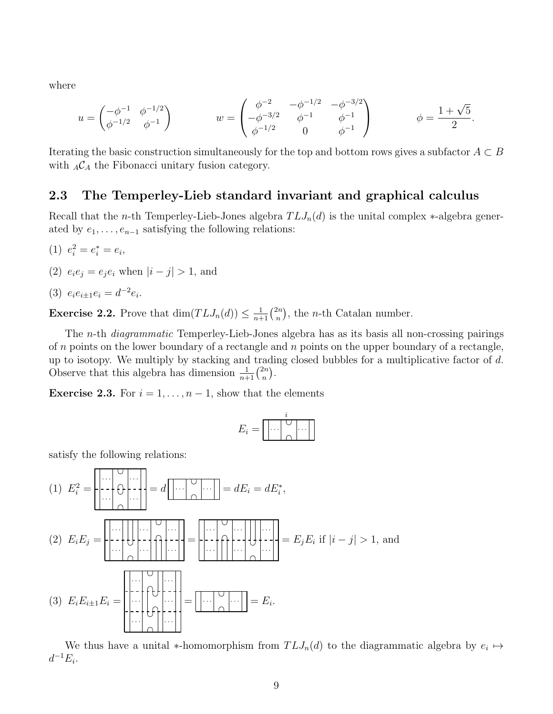where

$$
u = \begin{pmatrix} -\phi^{-1} & \phi^{-1/2} \\ \phi^{-1/2} & \phi^{-1} \end{pmatrix} \qquad \qquad w = \begin{pmatrix} \phi^{-2} & -\phi^{-1/2} & -\phi^{-3/2} \\ -\phi^{-3/2} & \phi^{-1} & \phi^{-1} \\ \phi^{-1/2} & 0 & \phi^{-1} \end{pmatrix} \qquad \qquad \phi = \frac{1 + \sqrt{5}}{2}.
$$

Iterating the basic construction simultaneously for the top and bottom rows gives a subfactor  $A \subset B$ with  $_A\mathcal{C}_A$  the Fibonacci unitary fusion category.

## 2.3 The Temperley-Lieb standard invariant and graphical calculus

Recall that the *n*-th Temperley-Lieb-Jones algebra  $TLJ_n(d)$  is the unital complex  $*$ -algebra generated by  $e_1, \ldots, e_{n-1}$  satisfying the following relations:

- (1)  $e_i^2 = e_i^* = e_i$ ,
- (2)  $e_i e_j = e_j e_i$  when  $|i j| > 1$ , and
- (3)  $e_i e_{i \pm 1} e_i = d^{-2} e_i$ .

**Exercise 2.2.** Prove that  $\dim(TLI_n(d)) \leq \frac{1}{n+1} \binom{2n}{n}$  $\binom{2n}{n}$ , the *n*-th Catalan number.

The n-th diagrammatic Temperley-Lieb-Jones algebra has as its basis all non-crossing pairings of  $n$  points on the lower boundary of a rectangle and  $n$  points on the upper boundary of a rectangle, up to isotopy. We multiply by stacking and trading closed bubbles for a multiplicative factor of d. Observe that this algebra has dimension  $\frac{1}{n+1} {2n \choose n}$  $\binom{2n}{n}$ .

**Exercise 2.3.** For  $i = 1, ..., n - 1$ , show that the elements

| ۰۰,۰<br>__ |  |  |  |
|------------|--|--|--|
| -          |  |  |  |

satisfy the following relations:

$$
(1) \ E_i^2 = \left| \begin{array}{c} \cdots \\ \cdots \\ \cdots \end{array} \right| = d \left| \begin{array}{c} \cdots \\ \cdots \\ \cdots \end{array} \right| = dE_i = dE_i^*,
$$
\n
$$
(2) \ E_i E_j = \left| \begin{array}{c} \cdots \\ \cdots \\ \cdots \end{array} \right| \left| \begin{array}{c} \cdots \\ \cdots \\ \cdots \end{array} \right| = \left| \begin{array}{c} \cdots \\ \cdots \\ \cdots \end{array} \right| \left| \begin{array}{c} \cdots \\ \cdots \\ \cdots \end{array} \right| = E_j E_i \text{ if } |i-j| > 1, \text{ and}
$$
\n
$$
(3) \ E_i E_{i\pm 1} E_i = \left| \begin{array}{c} \cdots \\ \cdots \\ \cdots \end{array} \right| \left| \begin{array}{c} \cdots \\ \cdots \\ \cdots \end{array} \right| = \left| \begin{array}{c} \cdots \\ \cdots \\ \cdots \end{array} \right| = E_i.
$$

We thus have a unital \*-homomorphism from  $TLJ_n(d)$  to the diagrammatic algebra by  $e_i \mapsto$  $d^{-1}E_i$ .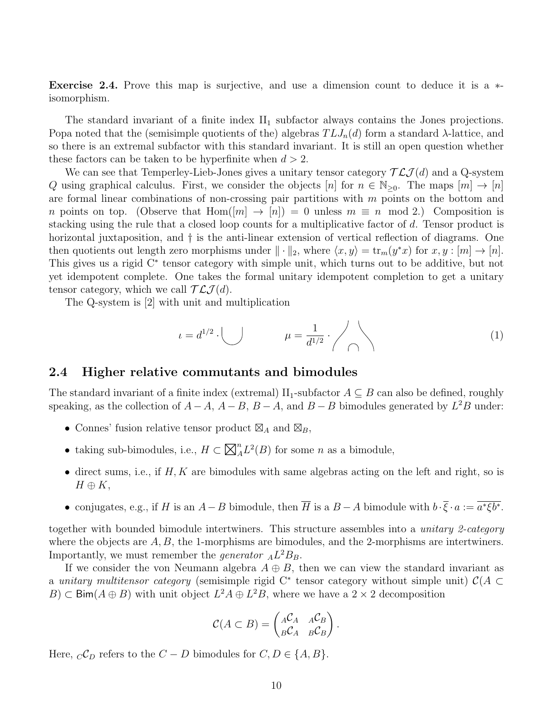Exercise 2.4. Prove this map is surjective, and use a dimension count to deduce it is a ∗ isomorphism.

The standard invariant of a finite index  $II_1$  subfactor always contains the Jones projections. Popa noted that the (semisimple quotients of the) algebras  $TLJ_n(d)$  form a standard  $\lambda$ -lattice, and so there is an extremal subfactor with this standard invariant. It is still an open question whether these factors can be taken to be hyperfinite when  $d > 2$ .

We can see that Temperley-Lieb-Jones gives a unitary tensor category  $\mathcal{TLJ}(d)$  and a Q-system Q using graphical calculus. First, we consider the objects  $[n]$  for  $n \in \mathbb{N}_{\geq 0}$ . The maps  $[m] \to [n]$ are formal linear combinations of non-crossing pair partitions with  $m$  points on the bottom and n points on top. (Observe that  $\text{Hom}(|m| \to |n|) = 0$  unless  $m \equiv n \mod 2$ .) Composition is stacking using the rule that a closed loop counts for a multiplicative factor of d. Tensor product is horizontal juxtaposition, and  $\dagger$  is the anti-linear extension of vertical reflection of diagrams. One then quotients out length zero morphisms under  $\|\cdot\|_2$ , where  $\langle x, y \rangle = \text{tr}_m(y^*x)$  for  $x, y : [m] \to [n]$ . This gives us a rigid C<sup>∗</sup> tensor category with simple unit, which turns out to be additive, but not yet idempotent complete. One takes the formal unitary idempotent completion to get a unitary tensor category, which we call  $\mathcal{TLJ}(d)$ .

The Q-system is [2] with unit and multiplication

<span id="page-9-0"></span>
$$
\mu = d^{1/2} \cdot \bigcup \qquad \mu = \frac{1}{d^{1/2}} \cdot \bigwedge \qquad (1)
$$

### 2.4 Higher relative commutants and bimodules

The standard invariant of a finite index (extremal)  $II_1$ -subfactor  $A \subseteq B$  can also be defined, roughly speaking, as the collection of  $A - A$ ,  $A - B$ ,  $B - A$ , and  $B - B$  bimodules generated by  $L^2B$  under:

- Connes' fusion relative tensor product  $\boxtimes_A$  and  $\boxtimes_B$ ,
- taking sub-bimodules, i.e.,  $H \subset \overline{\boxtimes}$  $_{A}^{n}L^{2}(B)$  for some *n* as a bimodule,
- $\bullet$  direct sums, i.e., if  $H, K$  are bimodules with same algebras acting on the left and right, so is  $H \oplus K$ ,
- conjugates, e.g., if H is an  $A B$  bimodule, then  $\overline{H}$  is a  $B A$  bimodule with  $b \cdot \overline{\xi} \cdot a := \overline{a^* \xi b^*}.$

together with bounded bimodule intertwiners. This structure assembles into a *unitary 2-category* where the objects are  $A, B$ , the 1-morphisms are bimodules, and the 2-morphisms are intertwiners. Importantly, we must remember the *generator*  $_A L^2 B_B$ .

If we consider the von Neumann algebra  $A \oplus B$ , then we can view the standard invariant as a unitary multitensor category (semisimple rigid C<sup>\*</sup> tensor category without simple unit)  $\mathcal{C}(A \subset$ B)  $\subset$  Bim( $A \oplus B$ ) with unit object  $L^2A \oplus L^2B$ , where we have a  $2 \times 2$  decomposition

$$
\mathcal{C}(A \subset B) = \begin{pmatrix} {}_{A}\mathcal{C}_{A} & {}_{A}\mathcal{C}_{B} \\ {}_{B}\mathcal{C}_{A} & {}_{B}\mathcal{C}_{B} \end{pmatrix}.
$$

Here,  ${}_{C}\mathcal{C}_D$  refers to the  $C - D$  bimodules for  $C, D \in \{A, B\}.$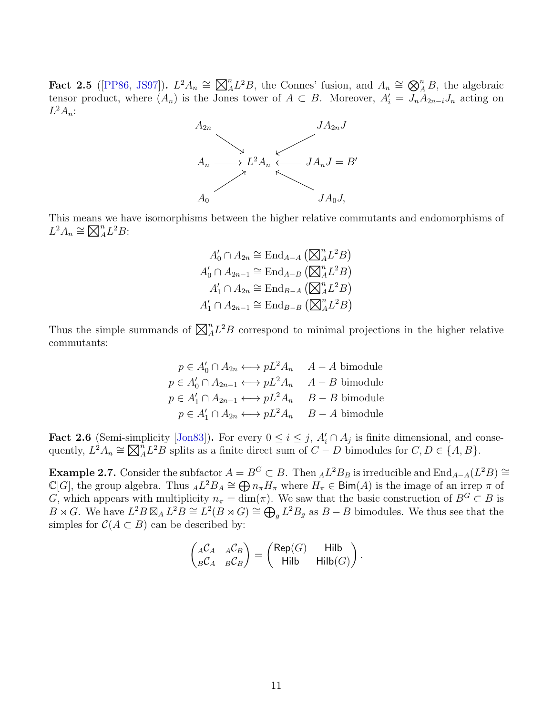Fact 2.5 ([\[PP86,](#page-14-1) [JS97\]](#page-13-3)).  $L^2A_n \cong \boxtimes$  ${}_{A}^{n}L^2B$ , the Connes' fusion, and  $A_n \cong \bigotimes_{A}^{n}B$ , the algebraic tensor product, where  $(A_n)$  is the Jones tower of  $A \subset B$ . Moreover,  $A'_i = J_n A_{2n-i} J_n$  acting on  $L^2A_n$ :



This means we have isomorphisms between the higher relative commutants and endomorphisms of  $L^2 A_n \cong \boxtimes$  $_{A}^{n}L^{2}B$ :

$$
A'_0 \cap A_{2n} \cong \text{End}_{A-A} (\boxtimes_A^n L^2 B)
$$
  

$$
A'_0 \cap A_{2n-1} \cong \text{End}_{A-B} (\boxtimes_A^n L^2 B)
$$
  

$$
A'_1 \cap A_{2n} \cong \text{End}_{B-A} (\boxtimes_A^n L^2 B)
$$
  

$$
A'_1 \cap A_{2n-1} \cong \text{End}_{B-B} (\boxtimes_A^n L^2 B)
$$

Thus the simple summands of  $\boxtimes$  $_{A}^{n}L^{2}B$  correspond to minimal projections in the higher relative commutants:

$$
p \in A'_0 \cap A_{2n} \longleftrightarrow pL^2 A_n \quad A - A \text{ bimodule}
$$
  
\n
$$
p \in A'_0 \cap A_{2n-1} \longleftrightarrow pL^2 A_n \quad A - B \text{ bimodule}
$$
  
\n
$$
p \in A'_1 \cap A_{2n-1} \longleftrightarrow pL^2 A_n \quad B - B \text{ bimodule}
$$
  
\n
$$
p \in A'_1 \cap A_{2n} \longleftrightarrow pL^2 A_n \quad B - A \text{ bimodule}
$$

**Fact 2.6** (Semi-simplicity [\[Jon83\]](#page-13-0)). For every  $0 \le i \le j$ ,  $A'_i \cap A_j$  is finite dimensional, and consequently,  $L^2 A_n \cong \boxtimes$  $\hat{A}_A^n L^2 B$  splits as a finite direct sum of  $C - D$  bimodules for  $C, D \in \{A, B\}.$ 

**Example 2.7.** Consider the subfactor  $A = B^G \subset B$ . Then  $_A L^2 B_B$  is irreducible and  $\text{End}_{A-A}(L^2 B) \cong$  $\mathbb{C}[G]$ , the group algebra. Thus  $_A L^2 B_A \cong \bigoplus n_{\pi} H_{\pi}$  where  $H_{\pi} \in \text{Bim}(A)$  is the image of an irrep  $\pi$  of G, which appears with multiplicity  $n_{\pi} = \dim(\pi)$ . We saw that the basic construction of  $B^G \subset B$  is  $B \rtimes G$ . We have  $L^2 B \boxtimes_A L^2 B \cong L^2(B \rtimes G) \cong \bigoplus_g L^2 B_g$  as  $B - B$  bimodules. We thus see that the simples for  $C(A \subset B)$  can be described by:

$$
\begin{pmatrix} _{A}\mathcal{C}_{A} & _{A}\mathcal{C}_{B} \\ _{B}\mathcal{C}_{A} & _{B}\mathcal{C}_{B} \end{pmatrix} = \begin{pmatrix} \mathsf{Rep}(G) & \mathsf{Hilb} \\ \mathsf{Hilb} & \mathsf{Hilb}(G) \end{pmatrix}.
$$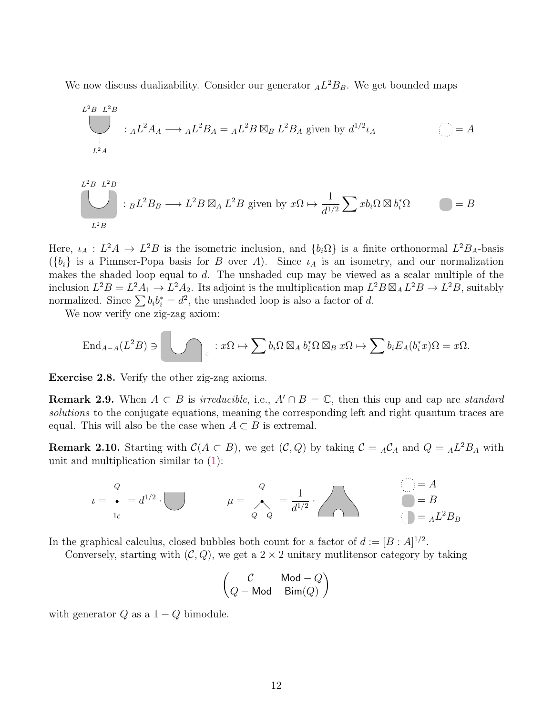We now discuss dualizability. Consider our generator  $_A L^2 B_B$ . We get bounded maps

$$
L^{2}B L^{2}B
$$
  
 :  ${}_{A}L^{2}A_{A} \longrightarrow {}_{A}L^{2}B_{A} = {}_{A}L^{2}B \boxtimes_{B} L^{2}B_{A}$  given by  $d^{1/2}\iota_{A}$    
  $L^{2}A$ 

$$
L^{2}B L^{2}B
$$
  
: 
$$
{}_B L^{2}B_B \longrightarrow L^{2}B \boxtimes_A L^{2}B
$$
 given by 
$$
x\Omega \mapsto \frac{1}{d^{1/2}} \sum x b_i \Omega \boxtimes b_i^* \Omega
$$

Here,  $\iota_A: L^2A \to L^2B$  is the isometric inclusion, and  $\{b_i\Omega\}$  is a finite orthonormal  $L^2B_A$ -basis  $({b_i})$  is a Pimnser-Popa basis for B over A). Since  $\iota_A$  is an isometry, and our normalization makes the shaded loop equal to d. The unshaded cup may be viewed as a scalar multiple of the inclusion  $L^2B = L^2A_1 \rightarrow L^2A_2$ . Its adjoint is the multiplication map  $L^2B \boxtimes_A L^2B \rightarrow L^2B$ , suitably normalized. Since  $\sum b_i b_i^* = d^2$ , the unshaded loop is also a factor of d.

We now verify one zig-zag axiom:

$$
\operatorname{End}_{A-A}(L^2B) \ni \bigcup \bigcap_{c} : x\Omega \mapsto \sum b_i\Omega \boxtimes_A b_i^* \Omega \boxtimes_B x\Omega \mapsto \sum b_iE_A(b_i^*x)\Omega = x\Omega.
$$

Exercise 2.8. Verify the other zig-zag axioms.

**Remark 2.9.** When  $A \subset B$  is *irreducible*, i.e.,  $A' \cap B = \mathbb{C}$ , then this cup and cap are *standard* solutions to the conjugate equations, meaning the corresponding left and right quantum traces are equal. This will also be the case when  $A \subset B$  is extremal.

**Remark 2.10.** Starting with  $C(A \subset B)$ , we get  $(C, Q)$  by taking  $C = {}_A C_A$  and  $Q = {}_A L^2 B_A$  with unit and multiplication similar to [\(1\)](#page-9-0):

$$
\iota = \begin{array}{c} Q \\ Q \\ i_c \end{array} = d^{1/2} \cdot \bigcup \qquad \qquad \mu = \begin{array}{c} Q \\ Q \\ Q \end{array} = \frac{1}{d^{1/2}} \cdot \bigcap \qquad \qquad \bullet = B \\ Q = B \\ Q = A L^2 B_B \end{array}
$$

In the graphical calculus, closed bubbles both count for a factor of  $d := [B : A]^{1/2}$ .

Conversely, starting with  $(C, Q)$ , we get a  $2 \times 2$  unitary mutlitensor category by taking

$$
\begin{pmatrix}\nC & \text{Mod} - Q \\
Q - \text{Mod} & \text{Bim}(Q)\n\end{pmatrix}
$$

with generator  $Q$  as a  $1 - Q$  bimodule.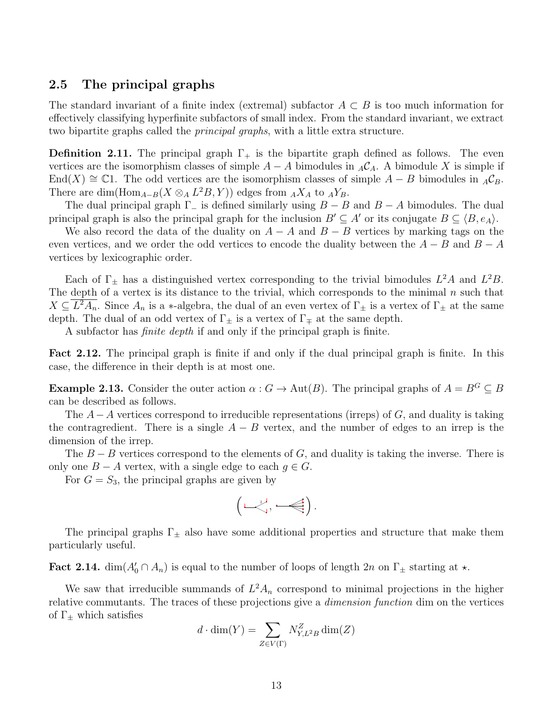## 2.5 The principal graphs

The standard invariant of a finite index (extremal) subfactor  $A \subset B$  is too much information for effectively classifying hyperfinite subfactors of small index. From the standard invariant, we extract two bipartite graphs called the principal graphs, with a little extra structure.

**Definition 2.11.** The principal graph  $\Gamma_{+}$  is the bipartite graph defined as follows. The even vertices are the isomorphism classes of simple  $A - A$  bimodules in  $_A C_A$ . A bimodule X is simple if End(X)  $\cong$  C1. The odd vertices are the isomorphism classes of simple  $A - B$  bimodules in  $_A \mathcal{C}_B$ . There are dim( $\text{Hom}_{A-B}(X \otimes_A L^2 B, Y)$ ) edges from  $_A X_A$  to  $_A Y_B$ .

The dual principal graph  $\Gamma_-\$  is defined similarly using  $B - B$  and  $B - A$  bimodules. The dual principal graph is also the principal graph for the inclusion  $B' \subseteq A'$  or its conjugate  $B \subseteq \langle B, e_A \rangle$ .

We also record the data of the duality on  $A - A$  and  $B - B$  vertices by marking tags on the even vertices, and we order the odd vertices to encode the duality between the  $A - B$  and  $B - A$ vertices by lexicographic order.

Each of  $\Gamma_{\pm}$  has a distinguished vertex corresponding to the trivial bimodules  $L^2A$  and  $L^2B$ . The depth of a vertex is its distance to the trivial, which corresponds to the minimal  $n$  such that  $X \subseteq \overline{L^2A_n}$ . Since  $A_n$  is a \*-algebra, the dual of an even vertex of  $\Gamma_{\pm}$  is a vertex of  $\Gamma_{\pm}$  at the same depth. The dual of an odd vertex of  $\Gamma_{\pm}$  is a vertex of  $\Gamma_{\mp}$  at the same depth.

A subfactor has finite depth if and only if the principal graph is finite.

Fact 2.12. The principal graph is finite if and only if the dual principal graph is finite. In this case, the difference in their depth is at most one.

**Example 2.13.** Consider the outer action  $\alpha$ :  $G \to \text{Aut}(B)$ . The principal graphs of  $A = B^G \subseteq B$ can be described as follows.

The  $A-A$  vertices correspond to irreducible representations (irreps) of  $G$ , and duality is taking the contragredient. There is a single  $A - B$  vertex, and the number of edges to an irrep is the dimension of the irrep.

The  $B - B$  vertices correspond to the elements of G, and duality is taking the inverse. There is only one  $B - A$  vertex, with a single edge to each  $q \in G$ .

For  $G = S_3$ , the principal graphs are given by

$$
\left(\text{mod}\; \text{mod}\right).
$$

The principal graphs  $\Gamma_{\pm}$  also have some additional properties and structure that make them particularly useful.

Fact 2.14.  $\dim(A'_0 \cap A_n)$  is equal to the number of loops of length 2n on  $\Gamma_{\pm}$  starting at  $\star$ .

We saw that irreducible summands of  $L^2 A_n$  correspond to minimal projections in the higher relative commutants. The traces of these projections give a dimension function dim on the vertices of  $\Gamma_{+}$  which satisfies

$$
d \cdot \dim(Y) = \sum_{Z \in V(\Gamma)} N_{Y,L^2B}^Z \dim(Z)
$$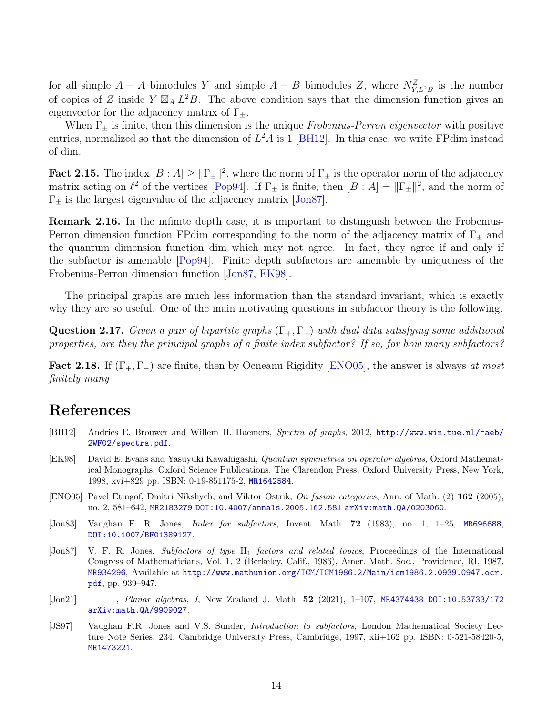for all simple  $A - A$  bimodules Y and simple  $A - B$  bimodules Z, where  $N_{Y,L^2B}^Z$  is the number of copies of Z inside  $Y \boxtimes_A L^2B$ . The above condition says that the dimension function gives an eigenvector for the adjacency matrix of  $\Gamma_{\pm}$ .

When  $\Gamma_{\pm}$  is finite, then this dimension is the unique Frobenius-Perron eigenvector with positive entries, normalized so that the dimension of  $L^2A$  is 1 [\[BH12\]](#page-13-4). In this case, we write FPdim instead of dim.

**Fact 2.15.** The index  $[B : A] \geq ||\Gamma_{\pm}||^2$ , where the norm of  $\Gamma_{\pm}$  is the operator norm of the adjacency matrix acting on  $\ell^2$  of the vertices [\[Pop94\]](#page-14-9). If  $\Gamma_{\pm}$  is finite, then  $[B : A] = ||\Gamma_{\pm}||^2$ , and the norm of  $\Gamma_{\pm}$  is the largest eigenvalue of the adjacency matrix [\[Jon87\]](#page-13-1).

Remark 2.16. In the infinite depth case, it is important to distinguish between the Frobenius-Perron dimension function FPdim corresponding to the norm of the adjacency matrix of  $\Gamma_{\pm}$  and the quantum dimension function dim which may not agree. In fact, they agree if and only if the subfactor is amenable [\[Pop94\]](#page-14-9). Finite depth subfactors are amenable by uniqueness of the Frobenius-Perron dimension function [\[Jon87,](#page-13-1) [EK98\]](#page-13-5).

The principal graphs are much less information than the standard invariant, which is exactly why they are so useful. One of the main motivating questions in subfactor theory is the following.

**Question 2.17.** Given a pair of bipartite graphs  $(\Gamma_+, \Gamma_-)$  with dual data satisfying some additional properties, are they the principal graphs of a finite index subfactor? If so, for how many subfactors?

**Fact 2.18.** If  $(\Gamma_+, \Gamma_-)$  are finite, then by Ocneanu Rigidity [\[ENO05\]](#page-13-6), the answer is always at most finitely many

## References

- <span id="page-13-4"></span>[BH12] Andries E. Brouwer and Willem H. Haemers, Spectra of graphs, 2012, [http://www.win.tue.nl/~aeb/](http://www.win.tue.nl/~aeb/2WF02/spectra.pdf) [2WF02/spectra.pdf](http://www.win.tue.nl/~aeb/2WF02/spectra.pdf).
- <span id="page-13-5"></span>[EK98] David E. Evans and Yasuyuki Kawahigashi, Quantum symmetries on operator algebras, Oxford Mathematical Monographs. Oxford Science Publications. The Clarendon Press, Oxford University Press, New York, 1998, xvi+829 pp. ISBN: 0-19-851175-2, [MR1642584](http://www.ams.org/mathscinet-getitem?mr=MR1642584).
- <span id="page-13-6"></span>[ENO05] Pavel Etingof, Dmitri Nikshych, and Viktor Ostrik, On fusion categories, Ann. of Math. (2) 162 (2005), no. 2, 581–642, [MR2183279](http://www.ams.org/mathscinet-getitem?mr=MR2183279) [DOI:10.4007/annals.2005.162.581](http://dx.doi.org/10.4007/annals.2005.162.581) [arXiv:math.QA/0203060](http://arxiv.org/abs/math.QA/0203060).
- <span id="page-13-0"></span>[Jon83] Vaughan F. R. Jones, Index for subfactors, Invent. Math. 72 (1983), no. 1, 1–25, [MR696688](http://www.ams.org/mathscinet-getitem?mr=MR696688), [DOI:10.1007/BF01389127](http://dx.doi.org/10.1007/BF01389127).
- <span id="page-13-1"></span>[Jon87] V. F. R. Jones, Subfactors of type II<sub>1</sub> factors and related topics, Proceedings of the International Congress of Mathematicians, Vol. 1, 2 (Berkeley, Calif., 1986), Amer. Math. Soc., Providence, RI, 1987, [MR934296](http://www.ams.org/mathscinet-getitem?mr=MR934296), Available at [http://www.mathunion.org/ICM/ICM1986.2/Main/icm1986.2.0939.0947.ocr.](http://www.mathunion.org/ICM/ICM1986.2/Main/icm1986.2.0939.0947.ocr.pdf) [pdf](http://www.mathunion.org/ICM/ICM1986.2/Main/icm1986.2.0939.0947.ocr.pdf), pp. 939–947.
- <span id="page-13-2"></span>[Jon21] , Planar algebras, I, New Zealand J. Math. 52 (2021), 1-107, [MR4374438](http://www.ams.org/mathscinet-getitem?mr=MR4374438) [DOI:10.53733/172](http://dx.doi.org/10.53733/172) [arXiv:math.QA/9909027](http://arxiv.org/abs/math.QA/9909027).
- <span id="page-13-3"></span>[JS97] Vaughan F.R. Jones and V.S. Sunder, Introduction to subfactors, London Mathematical Society Lecture Note Series, 234. Cambridge University Press, Cambridge, 1997, xii+162 pp. ISBN: 0-521-58420-5, [MR1473221](http://www.ams.org/mathscinet-getitem?mr=MR1473221).